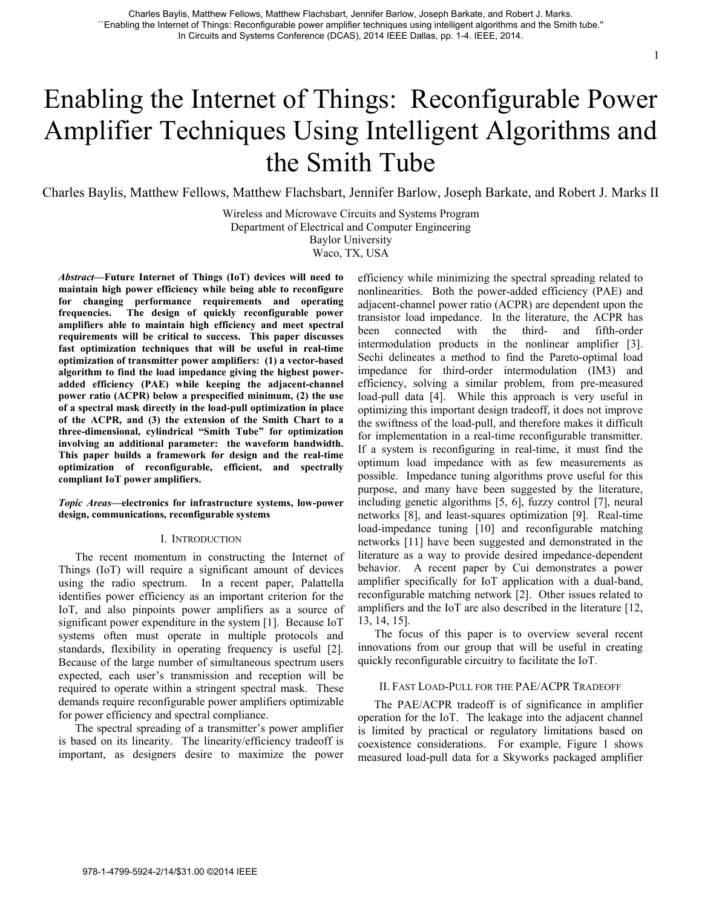# Enabling the Internet of Things: Reconfigurable Power Amplifier Techniques Using Intelligent Algorithms and the Smith Tube

Charles Baylis, Matthew Fellows, Matthew Flachsbart, Jennifer Barlow, Joseph Barkate, and Robert J. Marks II

Wireless and Microwave Circuits and Systems Program Department of Electrical and Computer Engineering

Baylor University Waco, TX, USA

*Abstract***—Future Internet of Things (IoT) devices will need to maintain high power efficiency while being able to reconfigure for changing performance requirements and operating frequencies. The design of quickly reconfigurable power amplifiers able to maintain high efficiency and meet spectral requirements will be critical to success. This paper discusses fast optimization techniques that will be useful in real-time optimization of transmitter power amplifiers: (1) a vector-based algorithm to find the load impedance giving the highest poweradded efficiency (PAE) while keeping the adjacent-channel power ratio (ACPR) below a prespecified minimum, (2) the use of a spectral mask directly in the load-pull optimization in place of the ACPR, and (3) the extension of the Smith Chart to a three-dimensional, cylindrical "Smith Tube" for optimization involving an additional parameter: the waveform bandwidth. This paper builds a framework for design and the real-time optimization of reconfigurable, efficient, and spectrally compliant IoT power amplifiers.** 

# *Topic Areas***—electronics for infrastructure systems, low-power design, communications, reconfigurable systems**

## I. INTRODUCTION

The recent momentum in constructing the Internet of Things (IoT) will require a significant amount of devices using the radio spectrum. In a recent paper, Palattella identifies power efficiency as an important criterion for the IoT, and also pinpoints power amplifiers as a source of significant power expenditure in the system [1]. Because IoT systems often must operate in multiple protocols and standards, flexibility in operating frequency is useful [2]. Because of the large number of simultaneous spectrum users expected, each user's transmission and reception will be required to operate within a stringent spectral mask. These demands require reconfigurable power amplifiers optimizable for power efficiency and spectral compliance.

The spectral spreading of a transmitter's power amplifier is based on its linearity. The linearity/efficiency tradeoff is important, as designers desire to maximize the power efficiency while minimizing the spectral spreading related to nonlinearities. Both the power-added efficiency (PAE) and adjacent-channel power ratio (ACPR) are dependent upon the transistor load impedance. In the literature, the ACPR has been connected with the third- and fifth-order intermodulation products in the nonlinear amplifier [3]. Sechi delineates a method to find the Pareto-optimal load impedance for third-order intermodulation (IM3) and efficiency, solving a similar problem, from pre-measured load-pull data [4]. While this approach is very useful in optimizing this important design tradeoff, it does not improve the swiftness of the load-pull, and therefore makes it difficult for implementation in a real-time reconfigurable transmitter. If a system is reconfiguring in real-time, it must find the optimum load impedance with as few measurements as possible. Impedance tuning algorithms prove useful for this purpose, and many have been suggested by the literature, including genetic algorithms [5, 6], fuzzy control [7], neural networks [8], and least-squares optimization [9]. Real-time load-impedance tuning [10] and reconfigurable matching networks [11] have been suggested and demonstrated in the literature as a way to provide desired impedance-dependent behavior. A recent paper by Cui demonstrates a power amplifier specifically for IoT application with a dual-band, reconfigurable matching network [2]. Other issues related to amplifiers and the IoT are also described in the literature [12, 13, 14, 15].

The focus of this paper is to overview several recent innovations from our group that will be useful in creating quickly reconfigurable circuitry to facilitate the IoT.

# II. FAST LOAD-PULL FOR THE PAE/ACPR TRADEOFF

The PAE/ACPR tradeoff is of significance in amplifier operation for the IoT. The leakage into the adjacent channel is limited by practical or regulatory limitations based on coexistence considerations. For example, Figure 1 shows measured load-pull data for a Skyworks packaged amplifier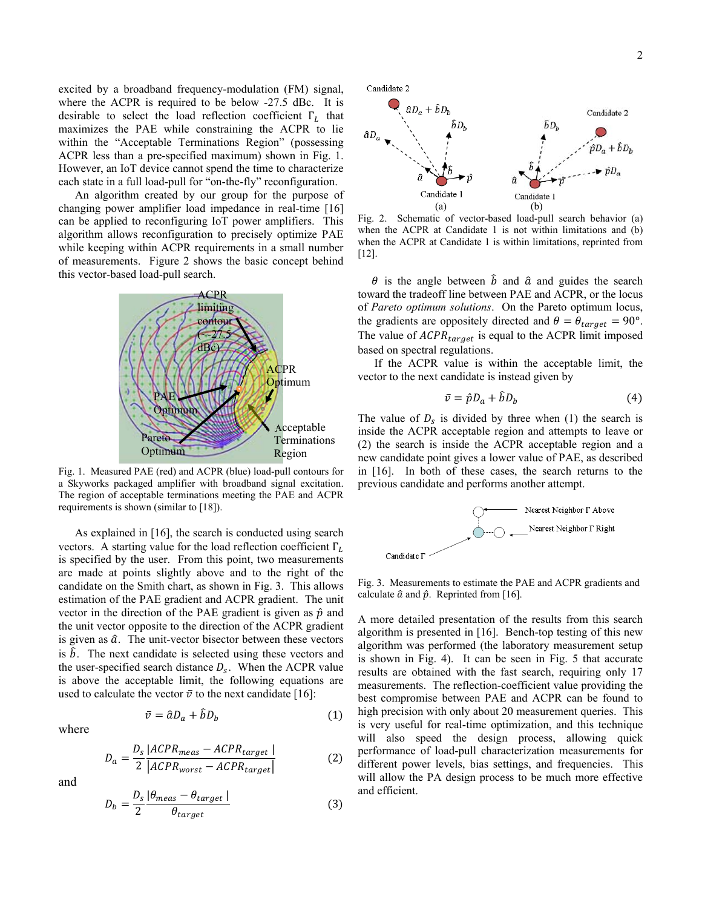excited by a broadband frequency-modulation (FM) signal, where the ACPR is required to be below -27.5 dBc. It is desirable to select the load reflection coefficient  $\Gamma_L$  that maximizes the PAE while constraining the ACPR to lie within the "Acceptable Terminations Region" (possessing ACPR less than a pre-specified maximum) shown in Fig. 1. However, an IoT device cannot spend the time to characterize each state in a full load-pull for "on-the-fly" reconfiguration.

An algorithm created by our group for the purpose of changing power amplifier load impedance in real-time [16] can be applied to reconfiguring IoT power amplifiers. This algorithm allows reconfiguration to precisely optimize PAE while keeping within ACPR requirements in a small number of measurements. Figure 2 shows the basic concept behind this vector-based load-pull search.



Fig. 1. Measured PAE (red) and ACPR (blue) load-pull contours for a Skyworks packaged amplifier with broadband signal excitation. The region of acceptable terminations meeting the PAE and ACPR requirements is shown (similar to [18]).

As explained in [16], the search is conducted using search vectors. A starting value for the load reflection coefficient  $\Gamma_L$ is specified by the user. From this point, two measurements are made at points slightly above and to the right of the candidate on the Smith chart, as shown in Fig. 3. This allows estimation of the PAE gradient and ACPR gradient. The unit vector in the direction of the PAE gradient is given as  $\hat{p}$  and the unit vector opposite to the direction of the ACPR gradient is given as  $\hat{a}$ . The unit-vector bisector between these vectors is  $\hat{b}$ . The next candidate is selected using these vectors and the user-specified search distance  $D_s$ . When the ACPR value is above the acceptable limit, the following equations are used to calculate the vector  $\bar{v}$  to the next candidate [16]:

where

$$
D_a = \frac{D_s \left| ACPR_{meas} - ACPR_{target} \right|}{2 \left| ACPR_{worst} - ACPR_{target} \right|}
$$
 (2)

 $\bar{v} = \hat{a}D_a + \hat{b}D_b$  (1)

and

$$
D_b = \frac{D_s}{2} \frac{|\theta_{meas} - \theta_{target}|}{\theta_{target}}
$$
 (3)



Fig. 2. Schematic of vector-based load-pull search behavior (a) when the ACPR at Candidate 1 is not within limitations and (b) when the ACPR at Candidate 1 is within limitations, reprinted from [12].

 $\theta$  is the angle between  $\hat{b}$  and  $\hat{a}$  and guides the search toward the tradeoff line between PAE and ACPR, or the locus of *Pareto optimum solutions*. On the Pareto optimum locus, the gradients are oppositely directed and  $\theta = \theta_{target} = 90^{\circ}$ . The value of  $ACPR_{target}$  is equal to the ACPR limit imposed based on spectral regulations.

If the ACPR value is within the acceptable limit, the vector to the next candidate is instead given by

$$
\bar{v} = \hat{p}D_a + \hat{b}D_b \tag{4}
$$

The value of  $D_s$  is divided by three when (1) the search is inside the ACPR acceptable region and attempts to leave or (2) the search is inside the ACPR acceptable region and a new candidate point gives a lower value of PAE, as described in [16]. In both of these cases, the search returns to the previous candidate and performs another attempt.



Fig. 3. Measurements to estimate the PAE and ACPR gradients and calculate  $\hat{a}$  and  $\hat{p}$ . Reprinted from [16].

A more detailed presentation of the results from this search algorithm is presented in [16]. Bench-top testing of this new algorithm was performed (the laboratory measurement setup is shown in Fig. 4). It can be seen in Fig. 5 that accurate results are obtained with the fast search, requiring only 17 measurements. The reflection-coefficient value providing the best compromise between PAE and ACPR can be found to high precision with only about 20 measurement queries. This is very useful for real-time optimization, and this technique will also speed the design process, allowing quick performance of load-pull characterization measurements for different power levels, bias settings, and frequencies. This will allow the PA design process to be much more effective and efficient.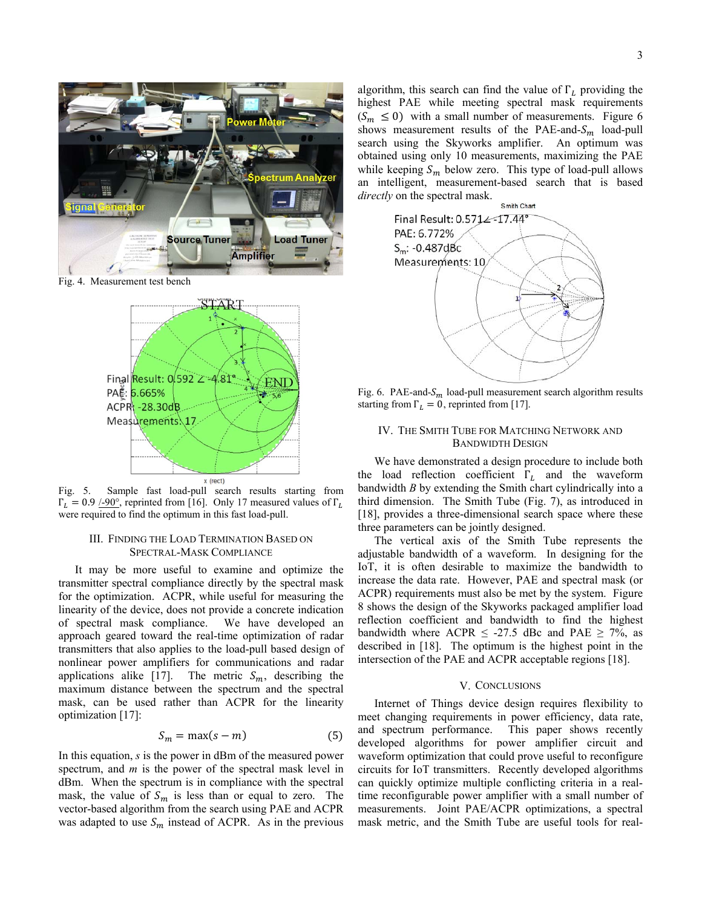

Fig. 4. Measurement test bench



Fig. 5. Sample fast load-pull search results starting from  $\Gamma_L = 0.9$  /-90°, reprinted from [16]. Only 17 measured values of  $\Gamma_L$ were required to find the optimum in this fast load-pull.

# III. FINDING THE LOAD TERMINATION BASED ON SPECTRAL-MASK COMPLIANCE

It may be more useful to examine and optimize the transmitter spectral compliance directly by the spectral mask for the optimization. ACPR, while useful for measuring the linearity of the device, does not provide a concrete indication of spectral mask compliance. We have developed an approach geared toward the real-time optimization of radar transmitters that also applies to the load-pull based design of nonlinear power amplifiers for communications and radar applications alike [17]. The metric  $S_m$ , describing the maximum distance between the spectrum and the spectral mask, can be used rather than ACPR for the linearity optimization [17]:

$$
S_m = \max(s - m) \tag{5}
$$

In this equation, *s* is the power in dBm of the measured power spectrum, and *m* is the power of the spectral mask level in dBm. When the spectrum is in compliance with the spectral mask, the value of  $S_m$  is less than or equal to zero. The vector-based algorithm from the search using PAE and ACPR was adapted to use  $S_m$  instead of ACPR. As in the previous algorithm, this search can find the value of  $\Gamma_L$  providing the highest PAE while meeting spectral mask requirements  $(S_m \leq 0)$  with a small number of measurements. Figure 6 shows measurement results of the PAE-and- $S_m$  load-pull search using the Skyworks amplifier. An optimum was obtained using only 10 measurements, maximizing the PAE while keeping  $S_m$  below zero. This type of load-pull allows an intelligent, measurement-based search that is based *directly* on the spectral mask.



Fig. 6. PAE-and- $S_m$  load-pull measurement search algorithm results starting from  $\Gamma_L = 0$ , reprinted from [17].

# IV. THE SMITH TUBE FOR MATCHING NETWORK AND BANDWIDTH DESIGN

We have demonstrated a design procedure to include both the load reflection coefficient  $\Gamma_L$  and the waveform bandwidth *B* by extending the Smith chart cylindrically into a third dimension. The Smith Tube (Fig. 7), as introduced in [18], provides a three-dimensional search space where these three parameters can be jointly designed.

The vertical axis of the Smith Tube represents the adjustable bandwidth of a waveform. In designing for the IoT, it is often desirable to maximize the bandwidth to increase the data rate. However, PAE and spectral mask (or ACPR) requirements must also be met by the system. Figure 8 shows the design of the Skyworks packaged amplifier load reflection coefficient and bandwidth to find the highest bandwidth where ACPR  $\leq$  -27.5 dBc and PAE  $\geq$  7%, as described in [18]. The optimum is the highest point in the intersection of the PAE and ACPR acceptable regions [18].

### V. CONCLUSIONS

Internet of Things device design requires flexibility to meet changing requirements in power efficiency, data rate, and spectrum performance. This paper shows recently developed algorithms for power amplifier circuit and waveform optimization that could prove useful to reconfigure circuits for IoT transmitters. Recently developed algorithms can quickly optimize multiple conflicting criteria in a realtime reconfigurable power amplifier with a small number of measurements. Joint PAE/ACPR optimizations, a spectral mask metric, and the Smith Tube are useful tools for real-